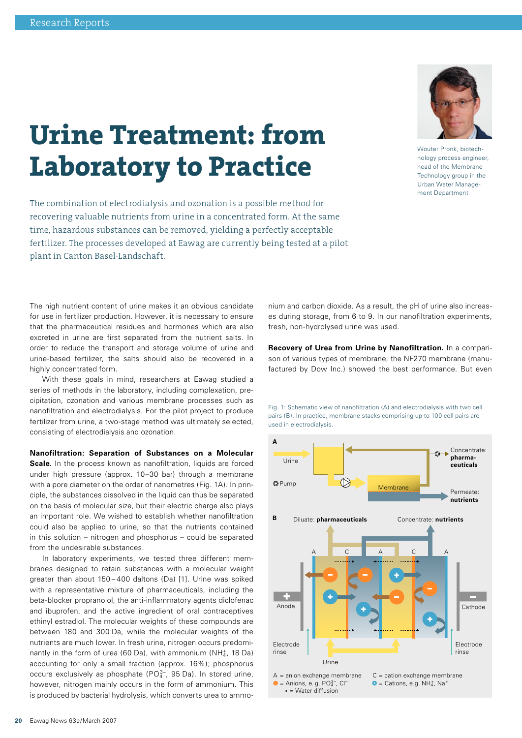## **Urine Treatment: from Laboratory to Practice**

The combination of electrodialysis and ozonation is a possible method for recovering valuable nutrients from urine in a concentrated form. At the same time, hazardous substances can be removed, yielding a perfectly acceptable fertilizer. The processes developed at Eawag are currently being tested at a pilot plant in Canton Basel-Landschaft.

The high nutrient content of urine makes it an obvious candidate for use in fertilizer production. However, it is necessary to ensure that the pharmaceutical residues and hormones which are also excreted in urine are first separated from the nutrient salts. In order to reduce the transport and storage volume of urine and urine-based fertilizer, the salts should also be recovered in a highly concentrated form.

With these goals in mind, researchers at Eawag studied a series of methods in the laboratory, including complexation, precipitation, ozonation and various membrane processes such as nanofiltration and electrodialysis. For the pilot project to produce fertilizer from urine, a two-stage method was ultimately selected, consisting of electrodialysis and ozonation.

**Nanofiltration: Separation of Substances on a Molecular** 

**Scale.** In the process known as nanofiltration, liquids are forced under high pressure (approx. 10–30 bar) through a membrane with a pore diameter on the order of nanometres (Fig. 1A). In principle, the substances dissolved in the liquid can thus be separated on the basis of molecular size, but their electric charge also plays an important role. We wished to establish whether nanofiltration could also be applied to urine, so that the nutrients contained in this solution – nitrogen and phosphorus – could be separated from the undesirable substances.

In laboratory experiments, we tested three different membranes designed to retain substances with a molecular weight greater than about 150 – 400 daltons (Da) [1]. Urine was spiked with a representative mixture of pharmaceuticals, including the beta-blocker propranolol, the anti-inflammatory agents diclofenac and ibuprofen, and the active ingredient of oral contraceptives ethinyl estradiol. The molecular weights of these compounds are between 180 and 300 Da, while the molecular weights of the nutrients are much lower. In fresh urine, nitrogen occurs predominantly in the form of urea (60 Da), with ammonium (NH $_4^*$ , 18 Da) accounting for only a small fraction (approx. 16%); phosphorus occurs exclusively as phosphate ( $PO<sub>4</sub><sup>3-</sup>$ , 95 Da). In stored urine, however, nitrogen mainly occurs in the form of ammonium. This is produced by bacterial hydrolysis, which converts urea to ammonium and carbon dioxide. As a result, the pH of urine also increases during storage, from 6 to 9. In our nanofiltration experiments, fresh, non-hydrolysed urine was used.

**Recovery of Urea from Urine by Nanofiltration.** In a comparison of various types of membrane, the NF270 membrane (manufactured by Dow Inc.) showed the best performance. But even



 $A =$  anion exchange membrane  $C =$  cation exchange membrane

 $\bullet$  = Cations, e.g. NH<sub>4</sub>, Na<sup>+</sup>

rinse

 $\bullet$  = Anions, e.g. PO $^{3-}_{4}$ , Cl<sup>-</sup>

Urine

 $\cdots$  = Water diffusion

rinse

Fig. 1: Schematic view of nanofiltration (A) and electrodialysis with two cell pairs (B). In practice, membrane stacks comprising up to 100 cell pairs are used in electrodialysis.

Wouter Pronk, biotechnology process engineer, head of the Membrane Technology group in the Urban Water Management Department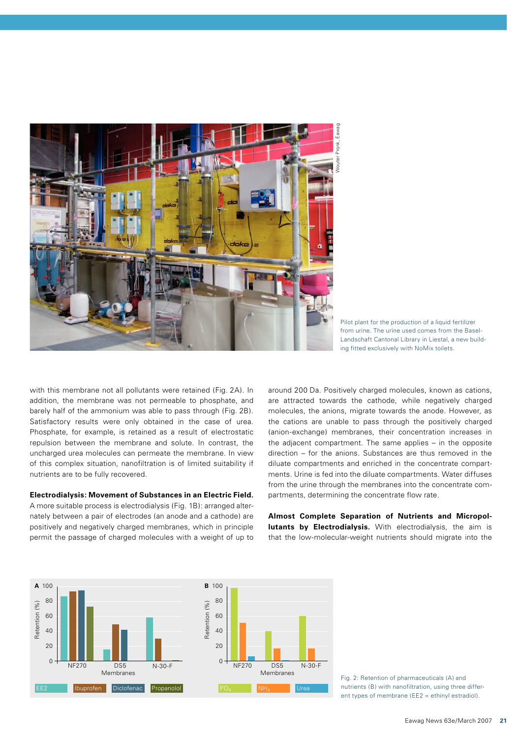

Pilot plant for the production of a liquid fertilizer from urine. The urine used comes from the Basel-Landschaft Cantonal Library in Liestal, a new building fitted exclusively with NoMix toilets.

with this membrane not all pollutants were retained (Fig. 2A). In addition, the membrane was not permeable to phosphate, and barely half of the ammonium was able to pass through (Fig. 2B). Satisfactory results were only obtained in the case of urea. Phosphate, for example, is retained as a result of electrostatic repulsion between the membrane and solute. In contrast, the uncharged urea molecules can permeate the membrane. In view of this complex situation, nanofiltration is of limited suitability if nutrients are to be fully recovered.

## **Electrodialysis: Movement of Substances in an Electric Field.**

A more suitable process is electrodialysis (Fig. 1B): arranged alternately between a pair of electrodes (an anode and a cathode) are positively and negatively charged membranes, which in principle permit the passage of charged molecules with a weight of up to around 200 Da. Positively charged molecules, known as cations, are attracted towards the cathode, while negatively charged molecules, the anions, migrate towards the anode. However, as the cations are unable to pass through the positively charged (anion-exchange) membranes, their concentration increases in the adjacent compartment. The same applies – in the opposite direction – for the anions. Substances are thus removed in the diluate compartments and enriched in the concentrate compartments. Urine is fed into the diluate compartments. Water diffuses from the urine through the membranes into the concentrate compartments, determining the concentrate flow rate.

**Almost Complete Separation of Nutrients and Micropollutants by Electrodialysis.** With electrodialysis, the aim is that the low-molecular-weight nutrients should migrate into the



Fig. 2: Retention of pharmaceuticals (A) and nutrients (B) with nanofiltration, using three different types of membrane (EE2 = ethinyl estradiol).